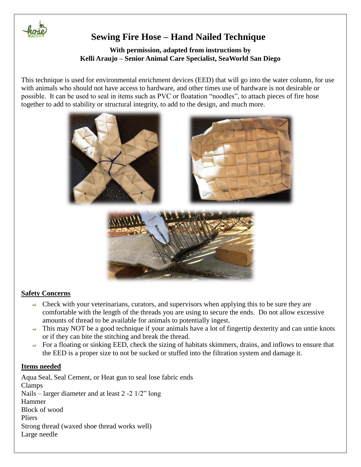

# **Sewing Fire Hose – Hand Nailed Technique**

### **With permission, adapted from instructions by Kelli Araujo – Senior Animal Care Specialist, SeaWorld San Diego**

This technique is used for environmental enrichment devices (EED) that will go into the water column, for use with animals who should not have access to hardware, and other times use of hardware is not desirable or possible. It can be used to seal in items such as PVC or floatation "noodles", to attach pieces of fire hose together to add to stability or structural integrity, to add to the design, and much more.



### **Safety Concerns**

- $\triangle$  Check with your veterinarians, curators, and supervisors when applying this to be sure they are comfortable with the length of the threads you are using to secure the ends. Do not allow excessive amounts of thread to be available for animals to potentially ingest.
- $\leftrightarrow$  This may NOT be a good technique if your animals have a lot of fingertip dexterity and can untie knots or if they can bite the stitching and break the thread.
- For a floating or sinking EED, check the sizing of habitats skimmers, drains, and inflows to ensure that the EED is a proper size to not be sucked or stuffed into the filtration system and damage it.

### **Items needed**

Aqua Seal, Seal Cement, or Heat gun to seal lose fabric ends Clamps Nails – larger diameter and at least 2 -2 1/2" long Hammer Block of wood Pliers Strong thread (waxed shoe thread works well) Large needle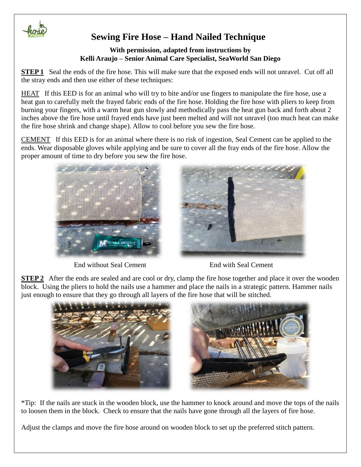

# **Sewing Fire Hose – Hand Nailed Technique**

### **With permission, adapted from instructions by Kelli Araujo – Senior Animal Care Specialist, SeaWorld San Diego**

**STEP 1** Seal the ends of the fire hose. This will make sure that the exposed ends will not unravel. Cut off all the stray ends and then use either of these techniques:

HEAT If this EED is for an animal who will try to bite and/or use fingers to manipulate the fire hose, use a heat gun to carefully melt the frayed fabric ends of the fire hose. Holding the fire hose with pliers to keep from burning your fingers, with a warm heat gun slowly and methodically pass the heat gun back and forth about 2 inches above the fire hose until frayed ends have just been melted and will not unravel (too much heat can make the fire hose shrink and change shape). Allow to cool before you sew the fire hose.

CEMENT If this EED is for an animal where there is no risk of ingestion, Seal Cement can be applied to the ends. Wear disposable gloves while applying and be sure to cover all the fray ends of the fire hose. Allow the proper amount of time to dry before you sew the fire hose.



End without Seal Cement End with Seal Cement



**STEP 2** After the ends are sealed and are cool or dry, clamp the fire hose together and place it over the wooden block. Using the pliers to hold the nails use a hammer and place the nails in a strategic pattern. Hammer nails just enough to ensure that they go through all layers of the fire hose that will be stitched.



\*Tip: If the nails are stuck in the wooden block, use the hammer to knock around and move the tops of the nails to loosen them in the block. Check to ensure that the nails have gone through all the layers of fire hose.

Adjust the clamps and move the fire hose around on wooden block to set up the preferred stitch pattern.